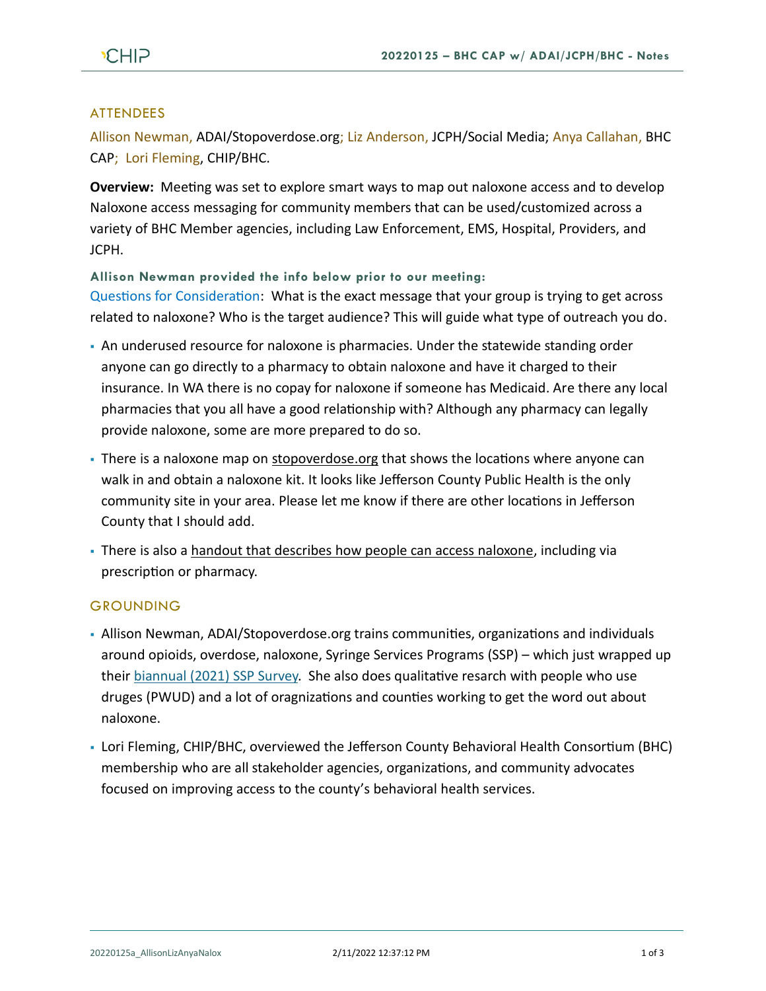# **ATTENDEES**

Allison Newman, ADAI/Stopoverdose.org; Liz Anderson, JCPH/Social Media; Anya Callahan, BHC CAP; Lori Fleming, CHIP/BHC.

**Overview:** Meeting was set to explore smart ways to map out naloxone access and to develop Naloxone access messaging for community members that can be used/customized across a variety of BHC Member agencies, including Law Enforcement, EMS, Hospital, Providers, and JCPH.

**Allison Newman provided the info below prior to our meeting:**

Questions for Consideration: What is the exact message that your group is trying to get across related to naloxone? Who is the target audience? This will guide what type of outreach you do.

- An underused resource for naloxone is pharmacies. Under the statewide standing order anyone can go directly to a pharmacy to obtain naloxone and have it charged to their insurance. In WA there is no copay for naloxone if someone has Medicaid. Are there any local pharmacies that you all have a good relationship with? Although any pharmacy can legally provide naloxone, some are more prepared to do so.
- . There is a naloxone map on [stopoverdose.org](https://stopoverdose.org/section/find-naloxone-near-you/) that shows the locations where anyone can walk in and obtain a naloxone kit. It looks like Jefferson County Public Health is the only community site in your area. Please let me know if there are other locations in Jefferson County that I should add.
- There is also [a handout that describes how people can access naloxone,](https://stopoverdose.org/docs/naloxonepostcard.pdf) including via prescription or pharmacy.

# **GROUNDING**

- Allison Newman, ADAI/Stopoverdose.org trains communities, organizations and individuals around opioids, overdose, naloxone, Syringe Services Programs (SSP) – which just wrapped up their [biannual \(2021\) SSP Survey.](https://www.behealthyjefferson.com/_files/ugd/2fdcdd_df1b390514df4fbba0ba46f18b20d776.pdf) She also does qualitative resarch with people who use druges (PWUD) and a lot of oragnizations and counties working to get the word out about naloxone.
- Lori Fleming, CHIP/BHC, overviewed the Jefferson County Behavioral Health Consortium (BHC) membership who are all stakeholder agencies, organizations, and community advocates focused on improving access to the county's behavioral health services.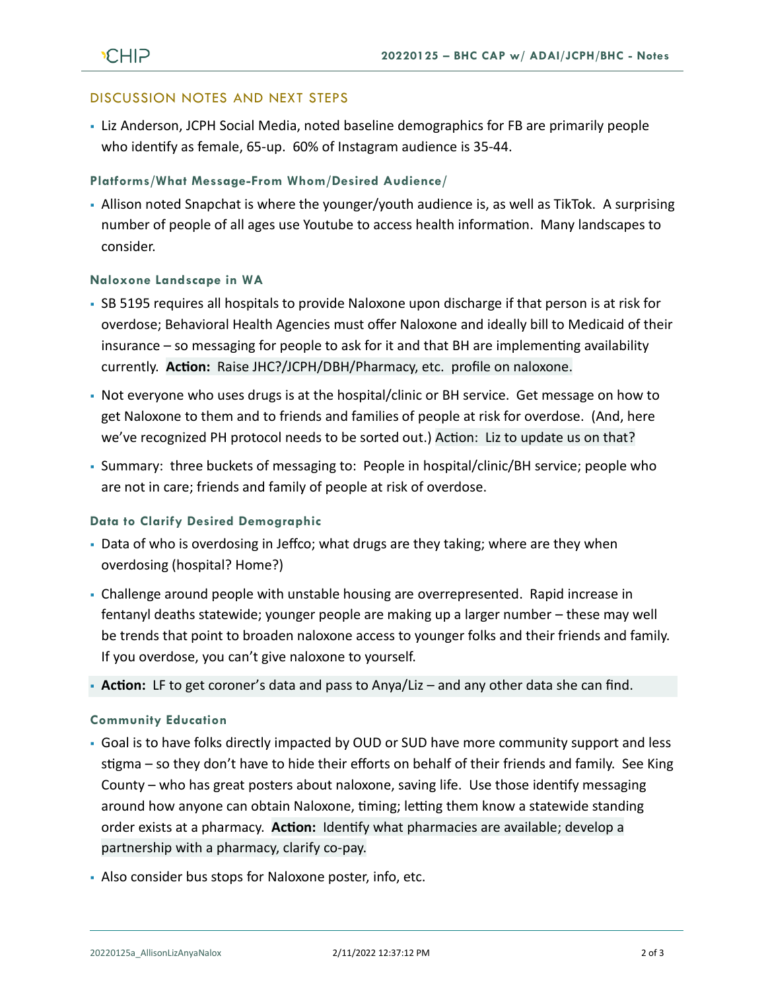## DISCUSSION NOTES AND NEXT STEPS

• Liz Anderson, JCPH Social Media, noted baseline demographics for FB are primarily people who identify as female, 65-up. 60% of Instagram audience is 35-44.

### **Platforms/What Message-From Whom/Desired Audience/**

• Allison noted Snapchat is where the younger/youth audience is, as well as TikTok. A surprising number of people of all ages use Youtube to access health information. Many landscapes to consider.

## **Naloxone Landscape in WA**

- SB 5195 requires all hospitals to provide Naloxone upon discharge if that person is at risk for overdose; Behavioral Health Agencies must offer Naloxone and ideally bill to Medicaid of their insurance – so messaging for people to ask for it and that BH are implementing availability currently. **Action:** Raise JHC?/JCPH/DBH/Pharmacy, etc. profile on naloxone.
- Not everyone who uses drugs is at the hospital/clinic or BH service. Get message on how to get Naloxone to them and to friends and families of people at risk for overdose. (And, here we've recognized PH protocol needs to be sorted out.) Action: Liz to update us on that?
- Summary: three buckets of messaging to: People in hospital/clinic/BH service; people who are not in care; friends and family of people at risk of overdose.

### **Data to Clarify Desired Demographic**

- Data of who is overdosing in Jeffco; what drugs are they taking; where are they when overdosing (hospital? Home?)
- Challenge around people with unstable housing are overrepresented. Rapid increase in fentanyl deaths statewide; younger people are making up a larger number – these may well be trends that point to broaden naloxone access to younger folks and their friends and family. If you overdose, you can't give naloxone to yourself.
- **Action:** LF to get coroner's data and pass to Anya/Liz and any other data she can find.

### **Community Education**

- Goal is to have folks directly impacted by OUD or SUD have more community support and less stigma – so they don't have to hide their efforts on behalf of their friends and family. See King County – who has great posters about naloxone, saving life. Use those identify messaging around how anyone can obtain Naloxone, timing; letting them know a statewide standing order exists at a pharmacy. **Action:** Identify what pharmacies are available; develop a partnership with a pharmacy, clarify co-pay.
- Also consider bus stops for Naloxone poster, info, etc.